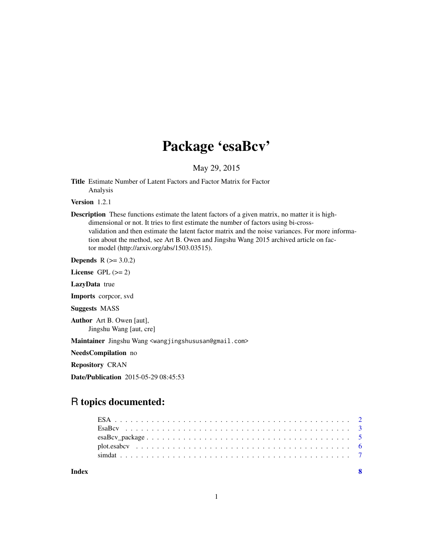## Package 'esaBcv'

May 29, 2015

<span id="page-0-0"></span>Title Estimate Number of Latent Factors and Factor Matrix for Factor Analysis

Version 1.2.1

Description These functions estimate the latent factors of a given matrix, no matter it is highdimensional or not. It tries to first estimate the number of factors using bi-crossvalidation and then estimate the latent factor matrix and the noise variances. For more information about the method, see Art B. Owen and Jingshu Wang 2015 archived article on factor model (http://arxiv.org/abs/1503.03515).

**Depends**  $R (= 3.0.2)$ 

License GPL  $(>= 2)$ 

LazyData true

Imports corpcor, svd

Suggests MASS

Author Art B. Owen [aut], Jingshu Wang [aut, cre]

Maintainer Jingshu Wang <wangjingshususan@gmail.com>

NeedsCompilation no

Repository CRAN

Date/Publication 2015-05-29 08:45:53

### R topics documented:

| Index |  |
|-------|--|
|       |  |
|       |  |
|       |  |
|       |  |
|       |  |

1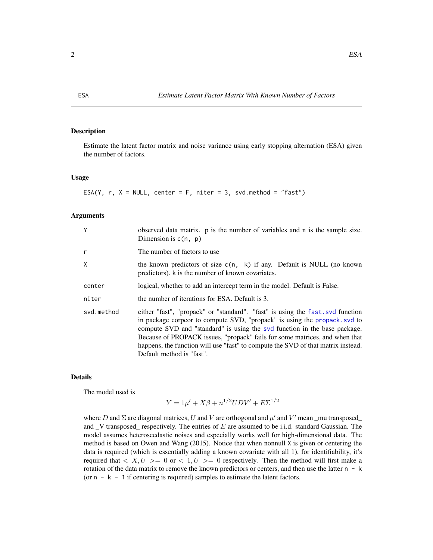#### Description

Estimate the latent factor matrix and noise variance using early stopping alternation (ESA) given the number of factors.

#### Usage

ESA(Y,  $r$ ,  $X = NULL$ , center = F, niter = 3, svd.method = "fast")

#### Arguments

| Υ          | observed data matrix. p is the number of variables and n is the sample size.<br>Dimension is $c(n, p)$                                                                                                                                                                                                                                                                                                                                  |
|------------|-----------------------------------------------------------------------------------------------------------------------------------------------------------------------------------------------------------------------------------------------------------------------------------------------------------------------------------------------------------------------------------------------------------------------------------------|
| r          | The number of factors to use.                                                                                                                                                                                                                                                                                                                                                                                                           |
| X          | the known predictors of size $c(n, k)$ if any. Default is NULL (no known<br>predictors). k is the number of known covariates.                                                                                                                                                                                                                                                                                                           |
| center     | logical, whether to add an intercept term in the model. Default is False.                                                                                                                                                                                                                                                                                                                                                               |
| niter      | the number of iterations for ESA. Default is 3.                                                                                                                                                                                                                                                                                                                                                                                         |
| svd.method | either "fast", "propack" or "standard". "fast" is using the fast svd function<br>in package corpcor to compute SVD, "propack" is using the propack. svd to<br>compute SVD and "standard" is using the svd function in the base package.<br>Because of PROPACK issues, "propack" fails for some matrices, and when that<br>happens, the function will use "fast" to compute the SVD of that matrix instead.<br>Default method is "fast". |

#### Details

The model used is

$$
Y = 1\mu' + X\beta + n^{1/2}UDV' + E\Sigma^{1/2}
$$

where D and  $\Sigma$  are diagonal matrices, U and V are orthogonal and  $\mu'$  and V' mean \_mu transposed\_ and  $\vee$  transposed respectively. The entries of E are assumed to be i.i.d. standard Gaussian. The model assumes heteroscedastic noises and especially works well for high-dimensional data. The method is based on Owen and Wang (2015). Notice that when nonnull X is given or centering the data is required (which is essentially adding a known covariate with all 1), for identifiability, it's required that  $\langle X, U \rangle = 0$  or  $\langle 1, U \rangle = 0$  respectively. Then the method will first make a rotation of the data matrix to remove the known predictors or centers, and then use the latter  $n - k$ (or  $n - k - 1$  if centering is required) samples to estimate the latent factors.

<span id="page-1-1"></span><span id="page-1-0"></span>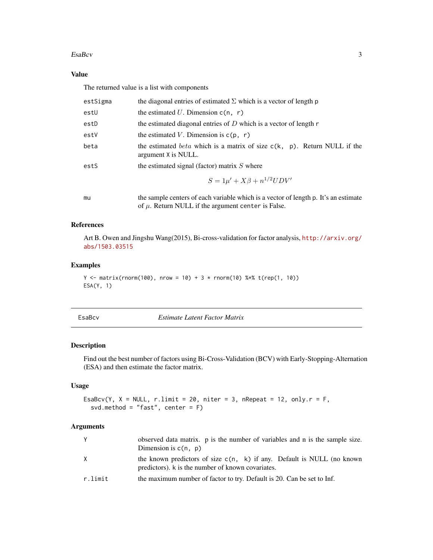#### <span id="page-2-0"></span> $Esabcv$  3

#### Value

The returned value is a list with components

| estSigma | the diagonal entries of estimated $\Sigma$ which is a vector of length p                                                                       |
|----------|------------------------------------------------------------------------------------------------------------------------------------------------|
| estU     | the estimated U. Dimension $c(n, r)$                                                                                                           |
| estD     | the estimated diagonal entries of $D$ which is a vector of length $r$                                                                          |
| estV     | the estimated V. Dimension is $c(p, r)$                                                                                                        |
| beta     | the estimated <i>beta</i> which is a matrix of size $c(k, p)$ . Return NULL if the<br>argument X is NULL.                                      |
| estS     | the estimated signal (factor) matrix $S$ where                                                                                                 |
|          | $S = 1\mu' + X\beta + n^{1/2}UDV'$                                                                                                             |
| mu       | the sample centers of each variable which is a vector of length p. It's an estimate<br>of $\mu$ . Return NULL if the argument center is False. |

#### References

Art B. Owen and Jingshu Wang(2015), Bi-cross-validation for factor analysis, [http://arxiv.org/](http://arxiv.org/abs/1503.03515) [abs/1503.03515](http://arxiv.org/abs/1503.03515)

#### Examples

```
Y \le matrix(rnorm(100), nrow = 10) + 3 * rnorm(10) %*% t(rep(1, 10))
ESA(Y, 1)
```
<span id="page-2-1"></span>

**Estimate Latent Factor Matrix** 

#### Description

Find out the best number of factors using Bi-Cross-Validation (BCV) with Early-Stopping-Alternation (ESA) and then estimate the factor matrix.

#### Usage

```
EsaBcv(Y, X = NULL, r.limit = 20, niter = 3, nRepeat = 12, only.r = F,
  svd.method = "fast", center = F)
```
#### Arguments

| Y       | observed data matrix. p is the number of variables and n is the sample size.<br>Dimension is $c(n, p)$                        |
|---------|-------------------------------------------------------------------------------------------------------------------------------|
| X       | the known predictors of size $c(n, k)$ if any. Default is NULL (no known<br>predictors). k is the number of known covariates. |
| r.limit | the maximum number of factor to try. Default is 20. Can be set to Inf.                                                        |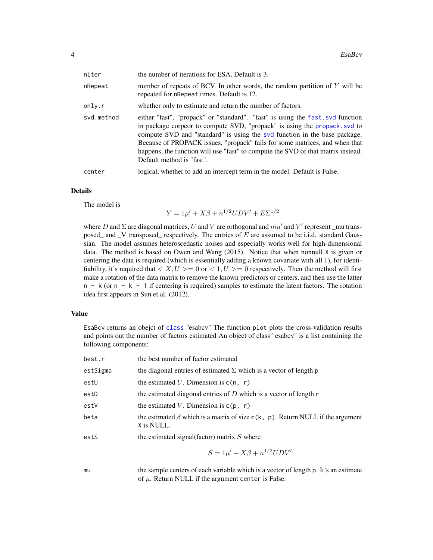<span id="page-3-0"></span>

| niter      | the number of iterations for ESA. Default is 3.                                                                                                                                                                                                                                                                                                                                                                                         |
|------------|-----------------------------------------------------------------------------------------------------------------------------------------------------------------------------------------------------------------------------------------------------------------------------------------------------------------------------------------------------------------------------------------------------------------------------------------|
| nRepeat    | number of repeats of BCV. In other words, the random partition of $Y$ will be<br>repeated for nRepeat times. Default is 12.                                                                                                                                                                                                                                                                                                             |
| only.r     | whether only to estimate and return the number of factors.                                                                                                                                                                                                                                                                                                                                                                              |
| svd.method | either "fast", "propack" or "standard". "fast" is using the fast svd function<br>in package corpcor to compute SVD, "propack" is using the propack. svd to<br>compute SVD and "standard" is using the svd function in the base package.<br>Because of PROPACK issues, "propack" fails for some matrices, and when that<br>happens, the function will use "fast" to compute the SVD of that matrix instead.<br>Default method is "fast". |
| center     | logical, whether to add an intercept term in the model. Default is False.                                                                                                                                                                                                                                                                                                                                                               |

#### Details

The model is

 $Y = 1\mu' + X\beta + n^{1/2}UDV' + E\Sigma^{1/2}$ 

where D and  $\Sigma$  are diagonal matrices, U and V are orthogonal and  $mu'$  and V' represent \_mu transposed\_ and \_V transposed\_ respectively. The entries of E are assumed to be i.i.d. standard Gaussian. The model assumes heteroscedastic noises and especially works well for high-dimensional data. The method is based on Owen and Wang (2015). Notice that when nonnull X is given or centering the data is required (which is essentially adding a known covariate with all 1), for identifiability, it's required that  $\langle X, U \rangle = 0$  or  $\langle 1, U \rangle = 0$  respectively. Then the method will first make a rotation of the data matrix to remove the known predictors or centers, and then use the latter  $n - k$  (or  $n - k - 1$  if centering is required) samples to estimate the latent factors. The rotation idea first appears in Sun et.al. (2012).

#### Value

EsaBcv returns an obejct of [class](#page-0-0) "esabcv" The function plot plots the cross-validation results and points out the number of factors estimated An object of class "esabcv" is a list containing the following components:

| best.r   | the best number of factor estimated                                                                   |
|----------|-------------------------------------------------------------------------------------------------------|
| estSigma | the diagonal entries of estimated $\Sigma$ which is a vector of length p                              |
| estU     | the estimated U. Dimension is $c(n, r)$                                                               |
| estD     | the estimated diagonal entries of $D$ which is a vector of length $r$                                 |
| estV     | the estimated V. Dimension is $c(p, r)$                                                               |
| beta     | the estimated $\beta$ which is a matrix of size $c(k, p)$ . Return NULL if the argument<br>X is NULL. |
| estS     | the estimated signal (factor) matrix $S$ where                                                        |
|          | $S = 1\mu' + X\beta + n^{1/2}UDV'$                                                                    |
| mu       | the sample centers of each variable which is a vector of length p. It's an estimate                   |

mu the sample centers of each variable which is a vector of length p. It's an estimate of  $\mu$ . Return NULL if the argument center is False.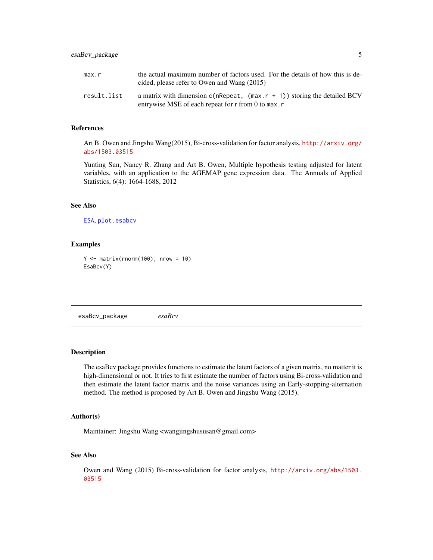<span id="page-4-0"></span>

| max.r       | the actual maximum number of factors used. For the details of how this is de-<br>cided, please refer to Owen and Wang $(2015)$   |
|-------------|----------------------------------------------------------------------------------------------------------------------------------|
| result.list | a matrix with dimension $c(nRepeat, (max.r + 1))$ storing the detailed BCV<br>entrywise MSE of each repeat for r from 0 to max.r |

#### References

Art B. Owen and Jingshu Wang(2015), Bi-cross-validation for factor analysis, [http://arxiv.org/](http://arxiv.org/abs/1503.03515) [abs/1503.03515](http://arxiv.org/abs/1503.03515)

Yunting Sun, Nancy R. Zhang and Art B. Owen, Multiple hypothesis testing adjusted for latent variables, with an application to the AGEMAP gene expression data. The Annuals of Applied Statistics, 6(4): 1664-1688, 2012

#### See Also

[ESA](#page-1-1), [plot.esabcv](#page-5-1)

#### Examples

```
Y \le - matrix(rnorm(100), nrow = 10)
EsaBcv(Y)
```
esaBcv\_package *esaBcv*

#### Description

The esaBcv package provides functions to estimate the latent factors of a given matrix, no matter it is high-dimensional or not. It tries to first estimate the number of factors using Bi-cross-validation and then estimate the latent factor matrix and the noise variances using an Early-stopping-alternation method. The method is proposed by Art B. Owen and Jingshu Wang (2015).

#### Author(s)

Maintainer: Jingshu Wang <wangjingshususan@gmail.com>

#### See Also

Owen and Wang (2015) Bi-cross-validation for factor analysis, [http://arxiv.org/abs/1503.](http://arxiv.org/abs/1503.03515) [03515](http://arxiv.org/abs/1503.03515)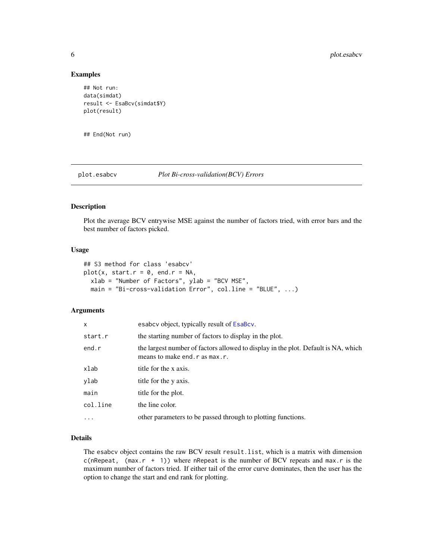#### Examples

```
## Not run:
data(simdat)
result <- EsaBcv(simdat$Y)
plot(result)
```
## End(Not run)

<span id="page-5-1"></span>plot.esabcv *Plot Bi-cross-validation(BCV) Errors*

#### Description

Plot the average BCV entrywise MSE against the number of factors tried, with error bars and the best number of factors picked.

#### Usage

```
## S3 method for class 'esabcv'
plot(x, start.r = 0, end.r = NA,
  xlab = "Number of Factors", ylab = "BCV MSE",
 main = "Bi-cross-validation Error", col.line = "BLUE", ...)
```
#### Arguments

| x        | esabcy object, typically result of EsaBcy.                                                                            |
|----------|-----------------------------------------------------------------------------------------------------------------------|
| start.r  | the starting number of factors to display in the plot.                                                                |
| end.r    | the largest number of factors allowed to display in the plot. Default is NA, which<br>means to make end. r as max. r. |
| xlab     | title for the x axis.                                                                                                 |
| ylab     | title for the y axis.                                                                                                 |
| main     | title for the plot.                                                                                                   |
| col.line | the line color.                                                                                                       |
| $\cdots$ | other parameters to be passed through to plotting functions.                                                          |

#### Details

The esabcv object contains the raw BCV result result.list, which is a matrix with dimension c(nRepeat,  $(max.r + 1)$ ) where nRepeat is the number of BCV repeats and max. r is the maximum number of factors tried. If either tail of the error curve dominates, then the user has the option to change the start and end rank for plotting.

<span id="page-5-0"></span>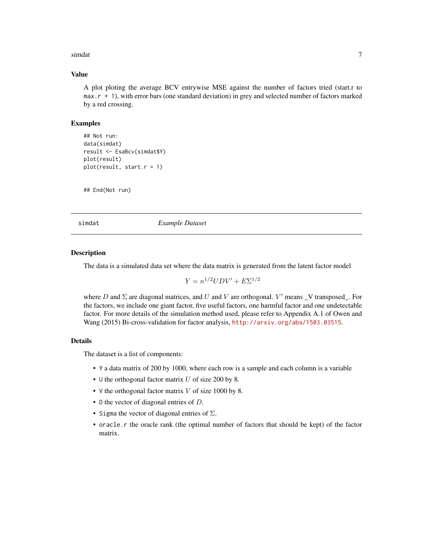#### <span id="page-6-0"></span>simdat 7

#### Value

A plot ploting the average BCV entrywise MSE against the number of factors tried (start.r to max.r + 1), with error bars (one standard deviation) in grey and selected number of factors marked by a red crossing.

#### Examples

```
## Not run:
data(simdat)
result <- EsaBcv(simdat$Y)
plot(result)
plot(result, start.r = 1)
```
## End(Not run)

simdat *Example Dataset*

#### Description

The data is a simulated data set where the data matrix is generated from the latent factor model

$$
Y = n^{1/2}UDV' + E\Sigma^{1/2}
$$

where  $D$  and  $\Sigma$  are diagonal matrices, and  $U$  and  $V$  are orthogonal.  $V'$  means  $\bot$ V transposed $\bot$ . For the factors, we include one giant factor, five useful factors, one harmful factor and one undetectable factor. For more details of the simulation method used, please refer to Appendix A.1 of Owen and Wang (2015) Bi-cross-validation for factor analysis, <http://arxiv.org/abs/1503.03515>.

#### Details

The dataset is a list of components:

- Y a data matrix of 200 by 1000, where each row is a sample and each column is a variable
- U the orthogonal factor matrix  $U$  of size 200 by 8.
- V the orthogonal factor matrix  $V$  of size 1000 by 8.
- D the vector of diagonal entries of D.
- Sigma the vector of diagonal entries of  $\Sigma$ .
- oracle.r the oracle rank (the optimal number of factors that should be kept) of the factor matrix.